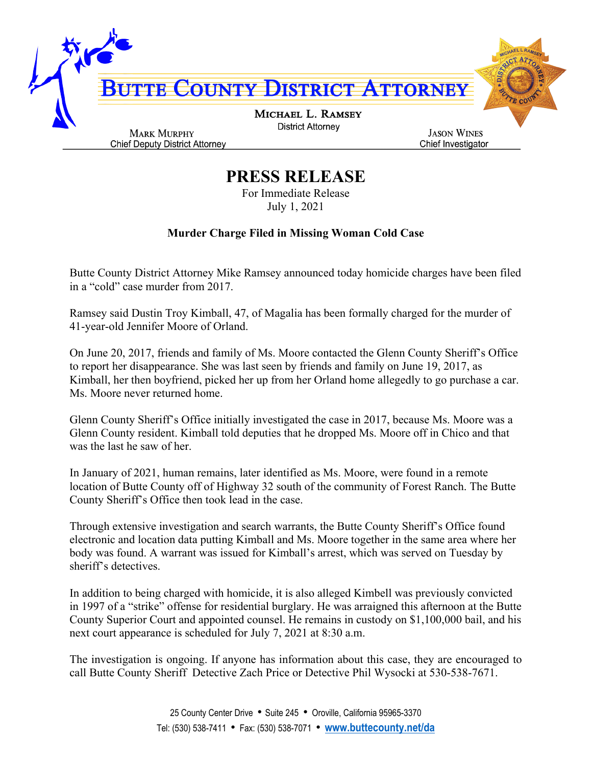

## **PRESS RELEASE**

For Immediate Release July 1, 2021

## **Murder Charge Filed in Missing Woman Cold Case**

Butte County District Attorney Mike Ramsey announced today homicide charges have been filed in a "cold" case murder from 2017.

Ramsey said Dustin Troy Kimball, 47, of Magalia has been formally charged for the murder of 41-year-old Jennifer Moore of Orland.

On June 20, 2017, friends and family of Ms. Moore contacted the Glenn County Sheriff's Office to report her disappearance. She was last seen by friends and family on June 19, 2017, as Kimball, her then boyfriend, picked her up from her Orland home allegedly to go purchase a car. Ms. Moore never returned home.

Glenn County Sheriff's Office initially investigated the case in 2017, because Ms. Moore was a Glenn County resident. Kimball told deputies that he dropped Ms. Moore off in Chico and that was the last he saw of her.

In January of 2021, human remains, later identified as Ms. Moore, were found in a remote location of Butte County off of Highway 32 south of the community of Forest Ranch. The Butte County Sheriff's Office then took lead in the case.

Through extensive investigation and search warrants, the Butte County Sheriff's Office found electronic and location data putting Kimball and Ms. Moore together in the same area where her body was found. A warrant was issued for Kimball's arrest, which was served on Tuesday by sheriff's detectives.

In addition to being charged with homicide, it is also alleged Kimbell was previously convicted in 1997 of a "strike" offense for residential burglary. He was arraigned this afternoon at the Butte County Superior Court and appointed counsel. He remains in custody on \$1,100,000 bail, and his next court appearance is scheduled for July 7, 2021 at 8:30 a.m.

The investigation is ongoing. If anyone has information about this case, they are encouraged to call Butte County Sheriff Detective Zach Price or Detective Phil Wysocki at 530-538-7671.